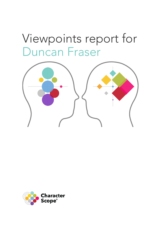# <span id="page-0-0"></span>Viewpoints report for Duncan Fraser



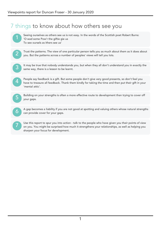### 7 things to know about how others see you

1 Seeing ourselves as others see us is not easy. In the words of the Scottish poet Robert Burns: 'O wad some Pow'r the giftie gie us To see oursels as ithers see us'





It may be true that nobody understands you, but when they all don't understand you in exactly the same way, there is a lesson to be learnt.

4 )

People say feedback is a gift. But some people don't give very good presents, so don't feel you have to treasure all feedback. Thank them kindly for taking the time and then put their gift in your 'mental attic'.



6 )

A gap becomes a liability if you are not good at spotting and valuing others whose natural strengths can provide cover for your gaps.

7 ) . Use this report to spur you into action - talk to the people who have given you their points of view on you. You might be surprised how much it strengthens your relationships, as well as helping you sharpen your focus for development.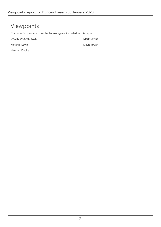### Viewpoints

CharacterScope data from the following are included in this report:

| DAVID WOLVERSON | Mark Loftus |
|-----------------|-------------|
| Melanie Lewin   | David Bryan |
| Hannah Cooke    |             |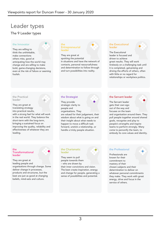### Leader types

#### The 9 Leader types

#### the Innovator

They are willing to think the unthinkable, make connections others miss, good at anticipating how the world may change and are willing to make bold, game-changing decisions, even at the risk of failure or seeming foolish.

#### the **Entrepreneurial** leader

They are great at spotting the potential in situations and have the network of contacts, personal resourcefulness and determination to follow through and turn possibilities into reality.

#### the Executional leader

The Executional



leader is focused and driven to achieve great results. They will work tirelessly on a challenging task until it is completed, galvanising and driving the efforts of others, often with little or no regard for relationships or workplace politics.

#### the Practical leader

They are great at translating strategy into practical results, with a strong feel for what will work in the real world. They balance the short-term with the long-term, bringing a sustained focus on improving the quality, reliability and effectiveness of whatever they are leading.

#### the Strategist

They provide strategic clarity to people and organisations. They are valued for their judgement, their wisdom about what is going on and their insight about what needs to happen to move a difficult task forward, unstick a relationship, or handle a tricky people situation.

#### the Servant leader

The Servant leader gets their own ego out of the way and focuses on the team



and organisation around them. They pull people together around shared goals, recognise and play to people's strengths and inspire teams to perform strongly. Many come to personify the team, to embody its core values and identity.

#### $the$ Transformational leader

They are great at leading people and organisations through change. Some deliver change in processes, products and structures, but the best are just as good at changing beliefs, mind-sets and culture.

#### the Charismatic leader

They seem to pull people towards them who are drawn by

their inner convictions and vision. The best create inspiration, energy and change for people, generating a sense of possibilities and potential.

#### the Professional

Professionals are known for their commitment to mastery of their



chosen subjects and their determination to deliver on whatever personal commitments they make. They work with great energy, drive and focus in the service of others.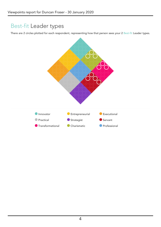### Best-fit Leader types

There are 2 circles plotted for each responden[t, representing how that person sees your 2 Best-fit Leader types.](#page-0-0)

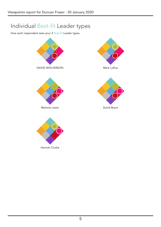### Individual Bes[t-fit Leader types](#page-0-0)

How each respondent sees [your 2 Best-fit Leader types.](#page-0-0)

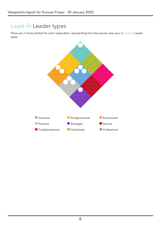### Least-fit Leader types

There are 2 circles p[lotted for each respondent, representing how that person sees your 2 Least-fit Leader](#page-0-0) types.

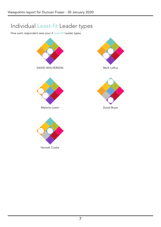## Individual Lea[st-fit Leader types](#page-0-0)

How each respondent sees [your 2 Least-fit Leader types.](#page-0-0)

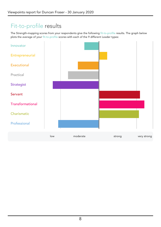### Fit-to-profile results

The Strength-mappi[ng scores from your respondents give the following fit-to-profile results. The graph below](#page-0-0) plots the average of your fit-to-profile scores with each of the 9 different Leader types:

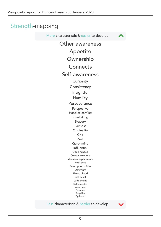### Strength-mapping

More characteristic & easier to develop



[Other awareness](#page-0-0) [Appetite](#page-0-0) [Ownership](#page-0-0) **[Connects](#page-0-0)** [Self-awareness](#page-0-0) **[Curiosity](#page-0-0) [Consistency](#page-0-0)** [Insightful](#page-0-0) [Humility](#page-0-0) **[Perseverance](#page-0-0)** [Perspective](#page-0-0) [Handles conflict](#page-0-0) [Risk-taking](#page-0-0) [Bravery](#page-0-0) [Fairness](#page-0-0) **[Originality](#page-0-0)** [Grip](#page-0-0) [Zest](#page-0-0) [Quick mind](#page-0-0) [Influential](#page-0-0) [Open-minded](#page-0-0) [Creates solutions](#page-0-0) [Manages expectations](#page-0-0) [Resilience](#page-0-0) [Sees opportunities](#page-0-0) [Optimism](#page-0-0) [Thinks ahead](#page-0-0) [Self-belief](#page-0-0) [Judgement](#page-0-0) [Self-regulation](#page-0-0) [Achievable](#page-0-0) [Prudence](#page-0-0) [Simplifies](#page-0-0) [Optimises](#page-0-0)

#### Less characteristic & harder to develop

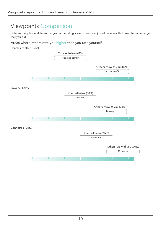### Viewpoints Comparison

Different people use different ranges on the rating scale, so we've adjusted these results to use the same range that you did.

#### Areas where others rate you higher than you rate yourself

[Handles conflict](javascript:void(0)) (+39%)

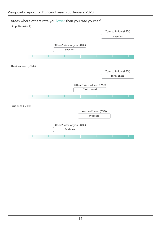#### Areas where others rate you lower than you rate yourself

[Simplifies](javascript:void(0)) (-45%)

|                     |  |  |  |            |                           |              |                      | Your self-view (85%) |                      |            |  |  |  |  |
|---------------------|--|--|--|------------|---------------------------|--------------|----------------------|----------------------|----------------------|------------|--|--|--|--|
|                     |  |  |  |            |                           |              |                      |                      |                      | Simplifies |  |  |  |  |
|                     |  |  |  | Simplifies | Others' view of you (40%) |              |                      |                      |                      |            |  |  |  |  |
| Thinks ahead (-26%) |  |  |  |            |                           |              |                      |                      |                      |            |  |  |  |  |
|                     |  |  |  |            |                           |              |                      |                      | Your self-view (85%) |            |  |  |  |  |
|                     |  |  |  |            |                           |              |                      |                      | Thinks ahead         |            |  |  |  |  |
|                     |  |  |  |            | Others' view of you (59%) | Thinks ahead |                      |                      |                      |            |  |  |  |  |
| Prudence (-23%)     |  |  |  |            |                           |              |                      |                      |                      |            |  |  |  |  |
|                     |  |  |  |            |                           |              | Your self-view (63%) |                      |                      |            |  |  |  |  |
|                     |  |  |  |            |                           | Prudence     |                      |                      |                      |            |  |  |  |  |
|                     |  |  |  | Prudence   | Others' view of you (40%) |              |                      |                      |                      |            |  |  |  |  |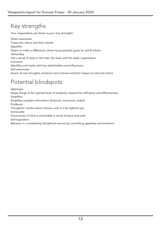## Key strengths

Your respondents see these as your key strengths:

[Other awareness](javascript:void(0)) Tunes into others and their worlds [Appetite](javascript:void(0)) Desire to make a difference; driven by purposeful goals for self & others [Ownership](javascript:void(0)) Has a sense of duty to the task, the team and the wider organisation **[Connects](javascript:void(0))** Identifies and works with key stakeholders and influencers [Self-awareness](javascript:void(0)) Aware of own thoughts, emotions and motives and their impact on self and others

### Potential blindspots

[Optimises](javascript:void(0)) Keeps things at the optimal level of simplicity required for efficiency and effectiveness [Simplifies](javascript:void(0)) Simplifies complex information (financial, numerical, verbal) [Prudence](javascript:void(0)) Thoughtful, careful about choices, acts in a far-sighted way [Achievable](javascript:void(0)) Good sense of what is achievable in terms of pace and scale [Self-regulation](javascript:void(0)) Behaves in a consistently disciplined manner by controlling appetites and emotions